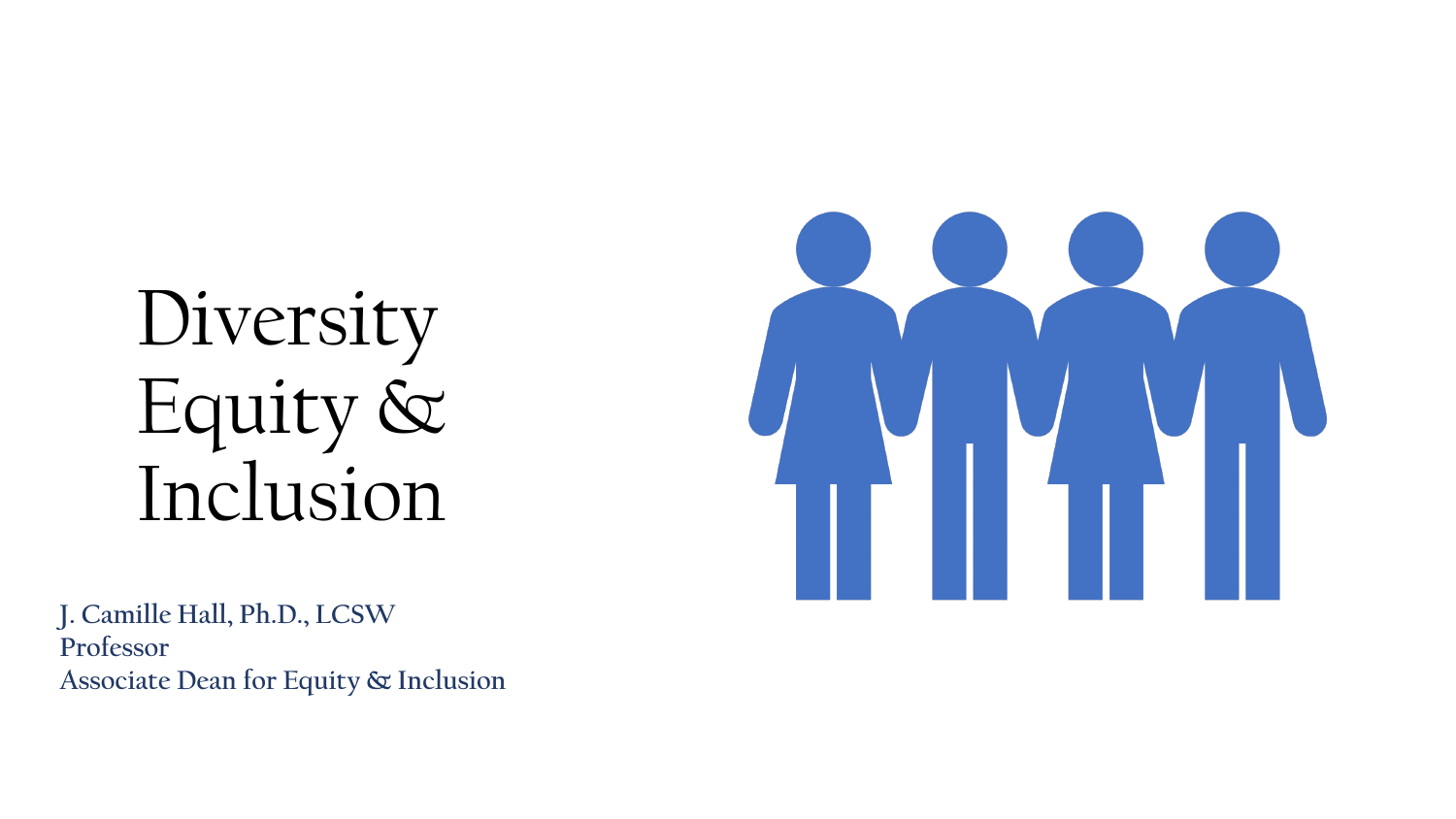# Diversity Equity & Inclusion



**J. Camille Hall, Ph.D., LCSW Professor Associate Dean for Equity & Inclusion**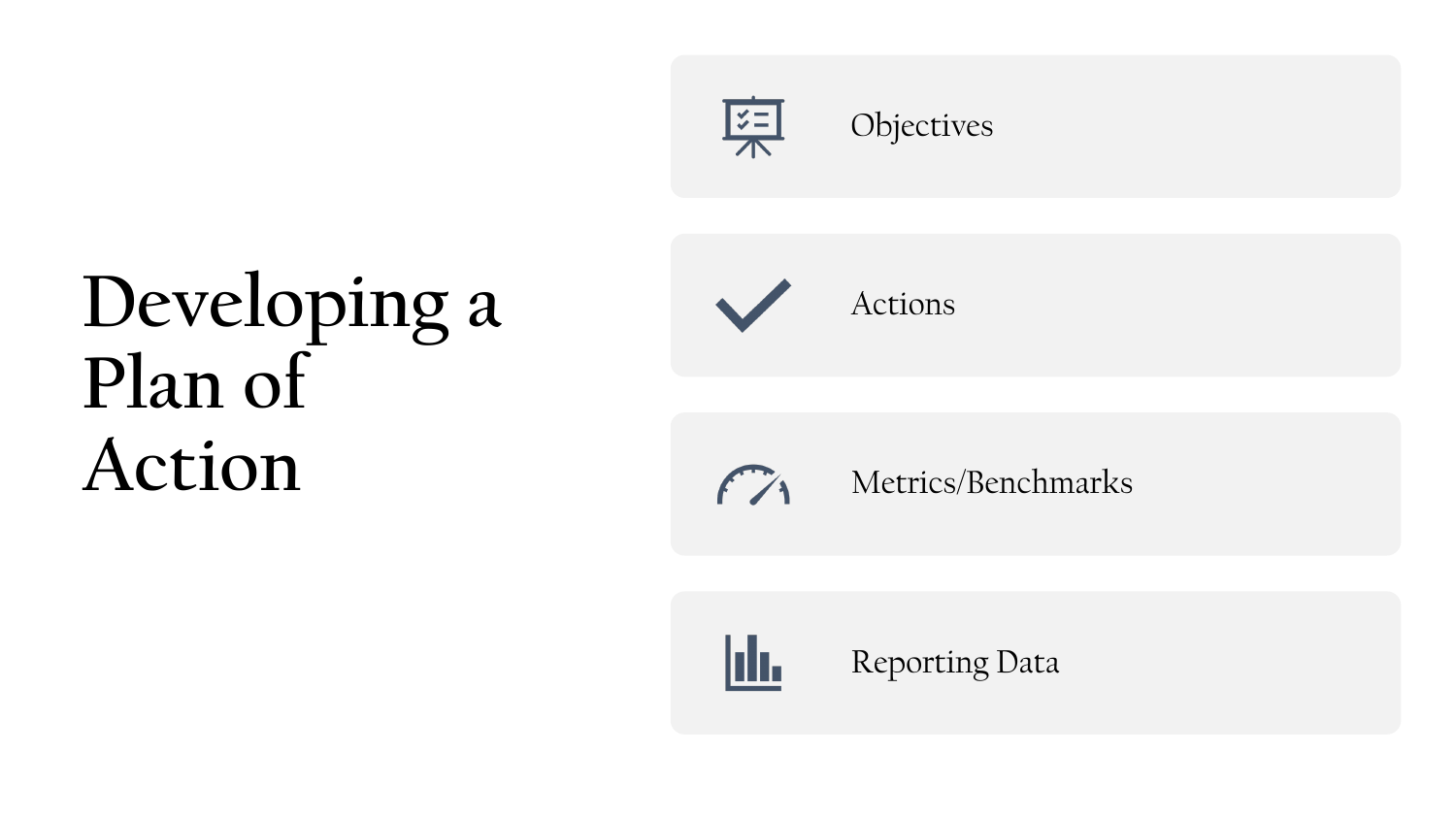

## **Developing a**  Plan of **Action**



Metrics/Benchmarks



 $\mathcal{F}$ 

Reporting Data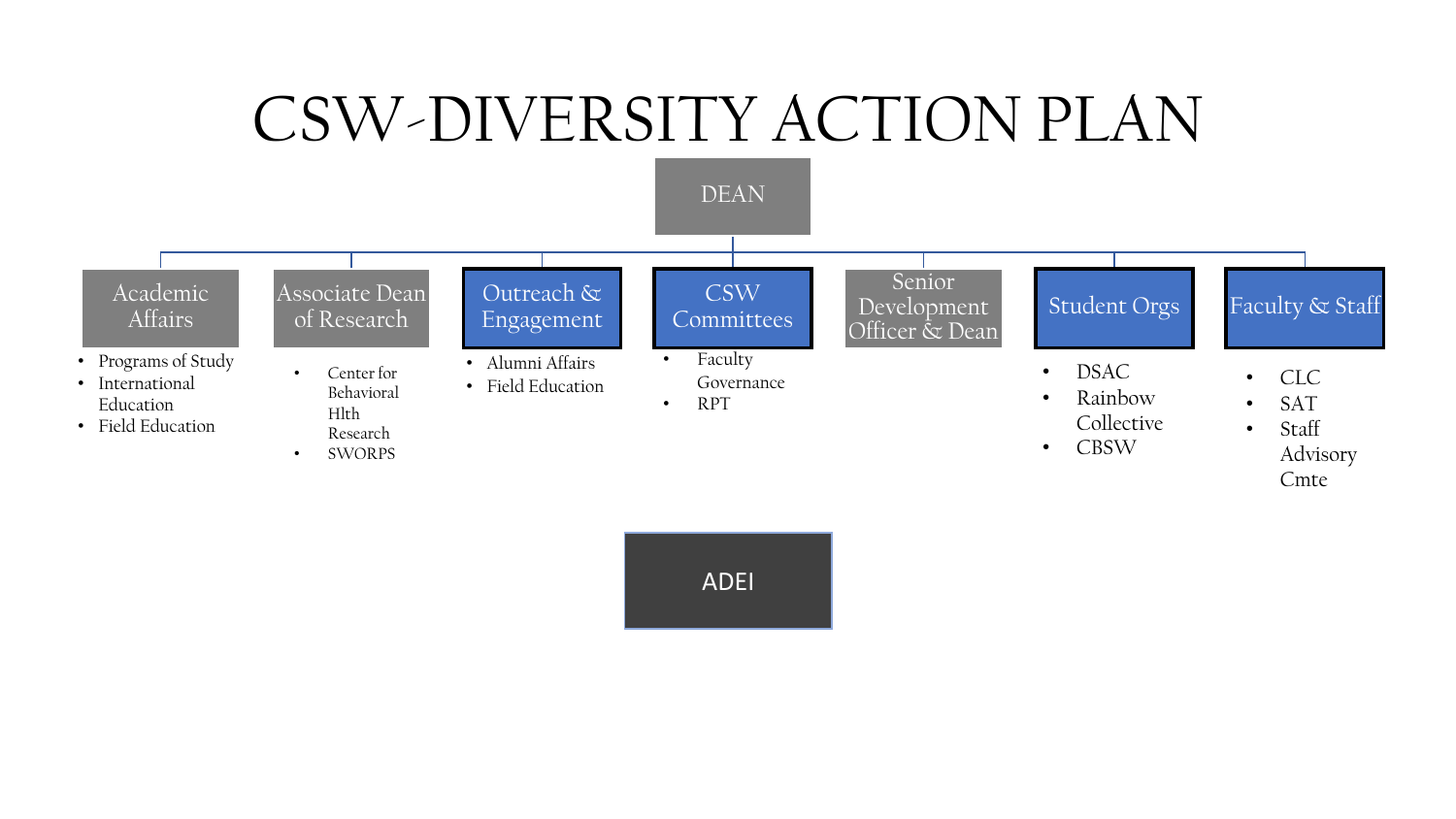### CSW-DIVERSITY ACTION PLAN



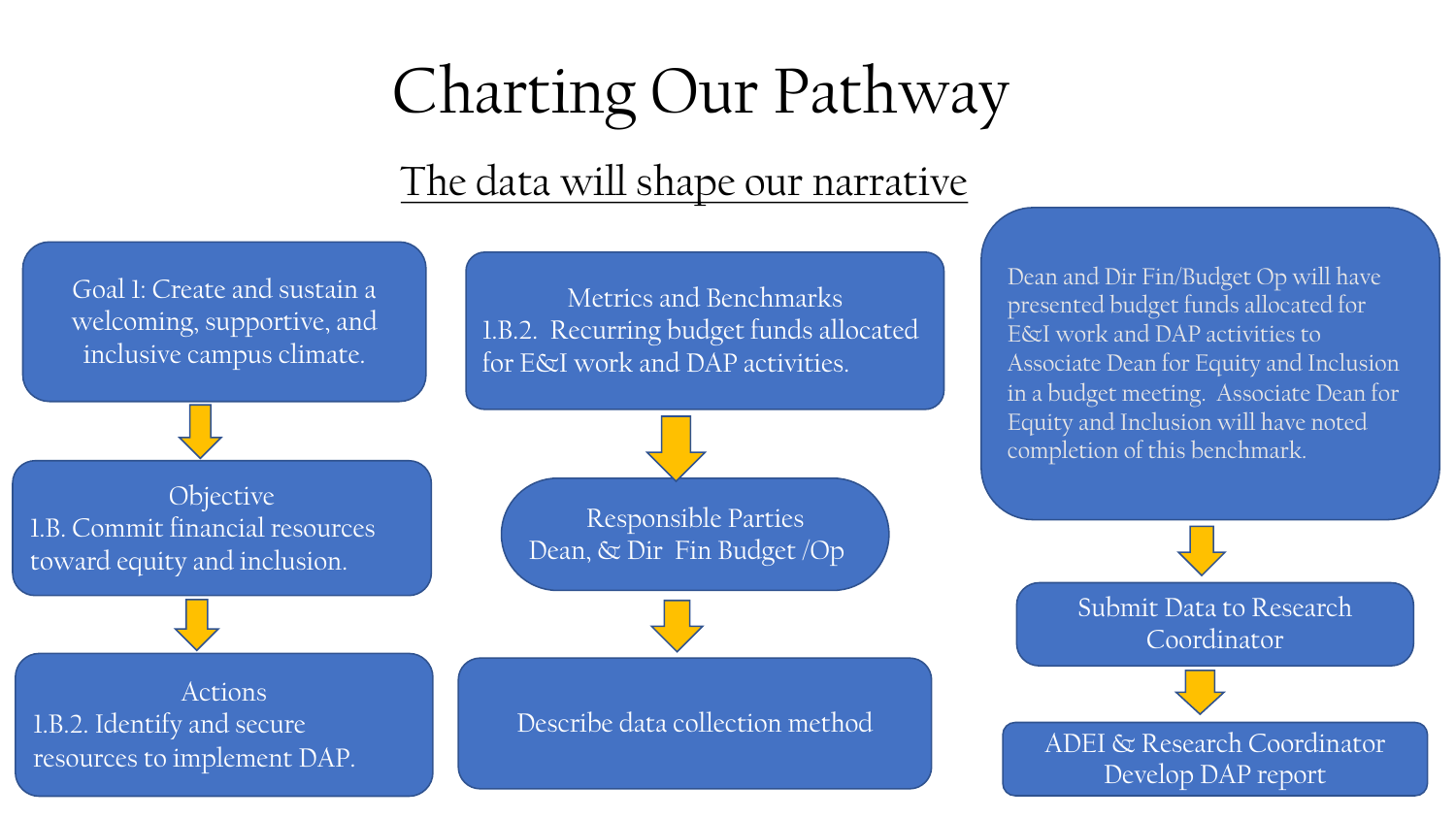## Charting Our Pathway

### The data will shape our narrative



Dean and Dir Fin/Budget Op will have presented budget funds allocated for E&I work and DAP activities to Associate Dean for Equity and Inclusion in a budget meeting. Associate Dean for Equity and Inclusion will have noted completion of this benchmark.

> Submit Data to Research Coordinator

ADEI & Research Coordinator

Develop DAP report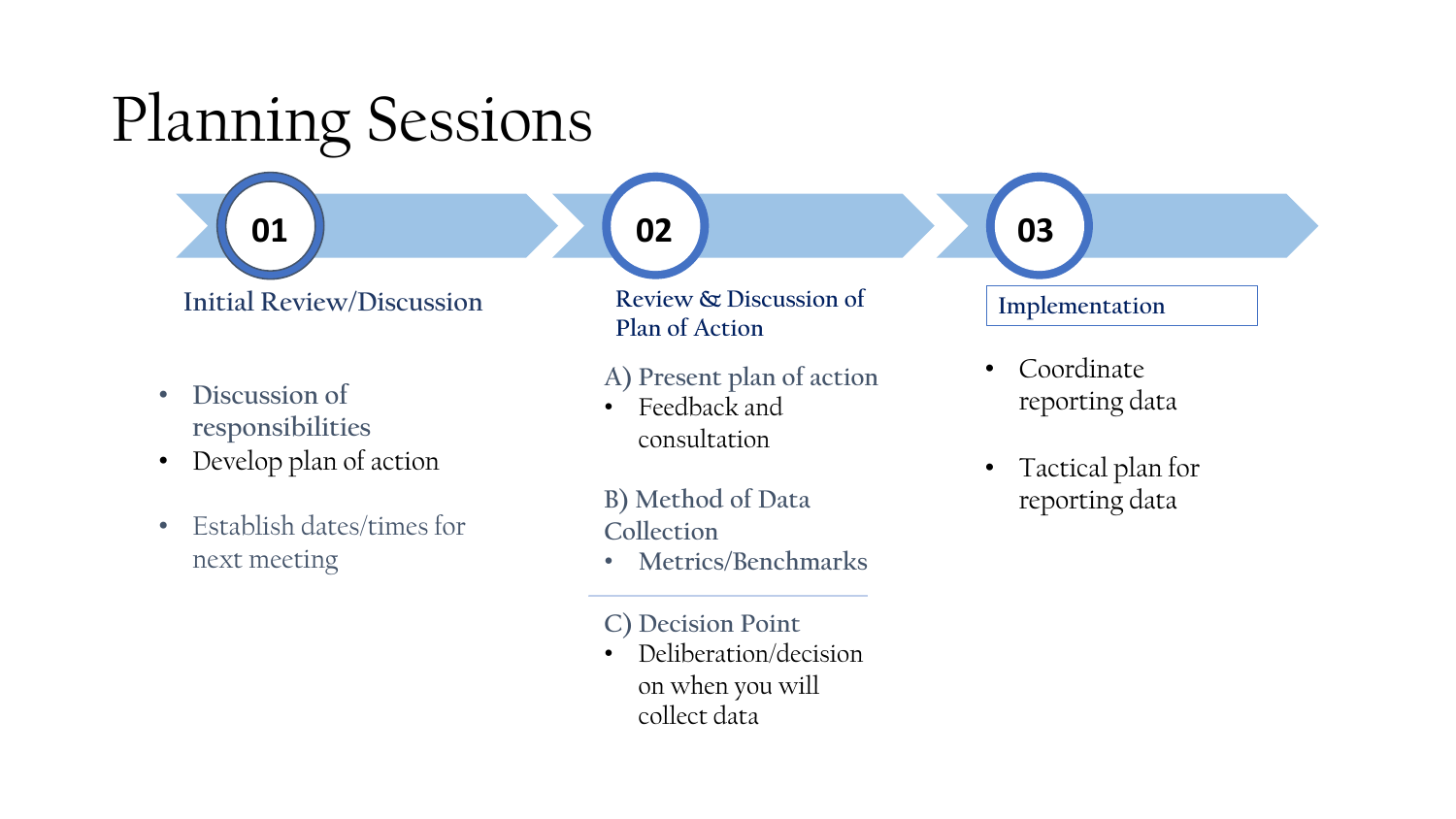#### **Implementation**  • Coordinate **Review & Discussion of Plan of Action A) Present plan of action** • Feedback and Planning Sessions **01 02 03 Initial Review/Discussion**

- **Discussion of responsibilities**
- Develop plan of action
- Establish dates/times for next meeting

**B) Method of Data Collection** 

consultation

- **Metrics/Benchmarks**
- **C) Decision Point**
- Deliberation/decision on when you will collect data
- reporting data
- Tactical plan for reporting data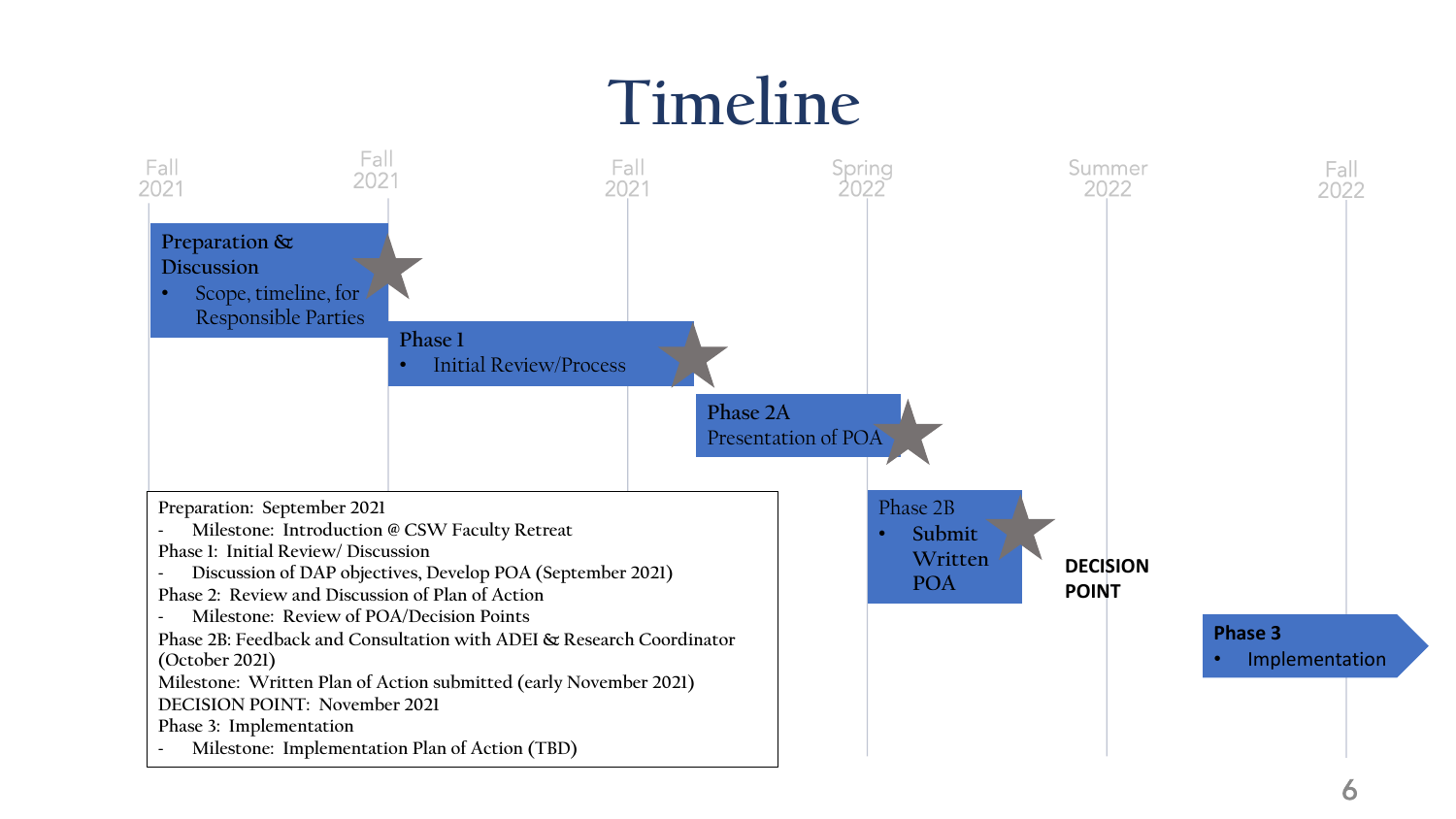### **Timeline**